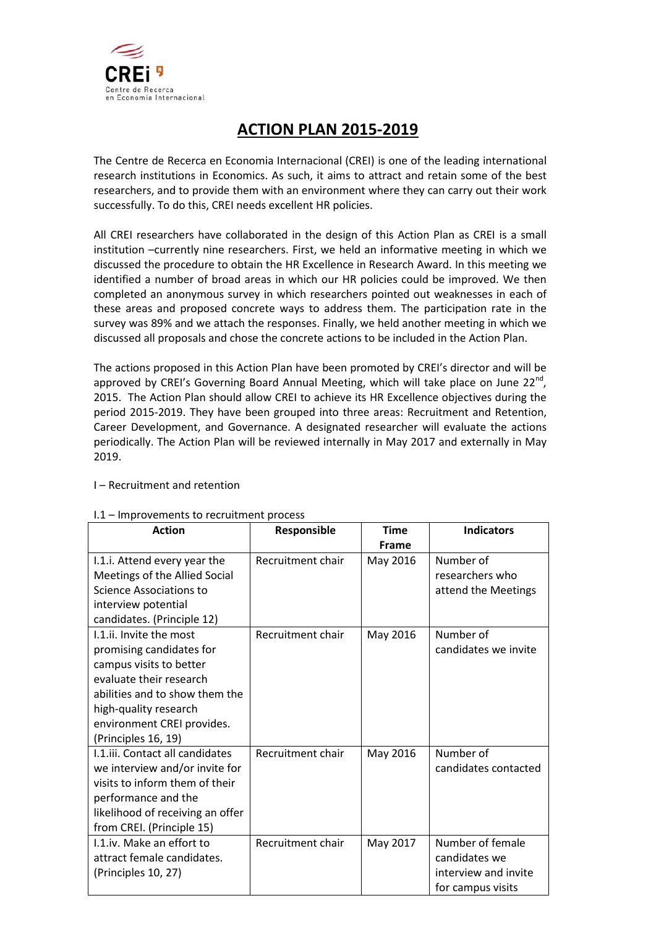

# **ACTION PLAN 2015-2019**

The Centre de Recerca en Economia Internacional (CREI) is one of the leading international research institutions in Economics. As such, it aims to attract and retain some of the best researchers, and to provide them with an environment where they can carry out their work successfully. To do this, CREI needs excellent HR policies.

All CREI researchers have collaborated in the design of this Action Plan as CREI is a small institution –currently nine researchers. First, we held an informative meeting in which we discussed the procedure to obtain the HR Excellence in Research Award. In this meeting we identified a number of broad areas in which our HR policies could be improved. We then completed an anonymous survey in which researchers pointed out weaknesses in each of these areas and proposed concrete ways to address them. The participation rate in the survey was 89% and we attach the responses. Finally, we held another meeting in which we discussed all proposals and chose the concrete actions to be included in the Action Plan.

The actions proposed in this Action Plan have been promoted by CREI's director and will be approved by CREI's Governing Board Annual Meeting, which will take place on June 22<sup>nd</sup>. 2015. The Action Plan should allow CREI to achieve its HR Excellence objectives during the period 2015-2019. They have been grouped into three areas: Recruitment and Retention, Career Development, and Governance. A designated researcher will evaluate the actions periodically. The Action Plan will be reviewed internally in May 2017 and externally in May 2019.

#### I.1 – Improvements to recruitment process

| <b>Action</b>                    | Responsible       | <b>Time</b>  | <b>Indicators</b>    |
|----------------------------------|-------------------|--------------|----------------------|
|                                  |                   | <b>Frame</b> |                      |
| I.1.i. Attend every year the     | Recruitment chair | May 2016     | Number of            |
| Meetings of the Allied Social    |                   |              | researchers who      |
| Science Associations to          |                   |              | attend the Meetings  |
| interview potential              |                   |              |                      |
| candidates. (Principle 12)       |                   |              |                      |
| 1.1.ii. Invite the most          | Recruitment chair | May 2016     | Number of            |
| promising candidates for         |                   |              | candidates we invite |
| campus visits to better          |                   |              |                      |
| evaluate their research          |                   |              |                      |
| abilities and to show them the   |                   |              |                      |
| high-quality research            |                   |              |                      |
| environment CREI provides.       |                   |              |                      |
| (Principles 16, 19)              |                   |              |                      |
| I.1.iii. Contact all candidates  | Recruitment chair | May 2016     | Number of            |
| we interview and/or invite for   |                   |              | candidates contacted |
| visits to inform them of their   |                   |              |                      |
| performance and the              |                   |              |                      |
| likelihood of receiving an offer |                   |              |                      |
| from CREI. (Principle 15)        |                   |              |                      |
| I.1.iv. Make an effort to        | Recruitment chair | May 2017     | Number of female     |
| attract female candidates.       |                   |              | candidates we        |
| (Principles 10, 27)              |                   |              | interview and invite |
|                                  |                   |              | for campus visits    |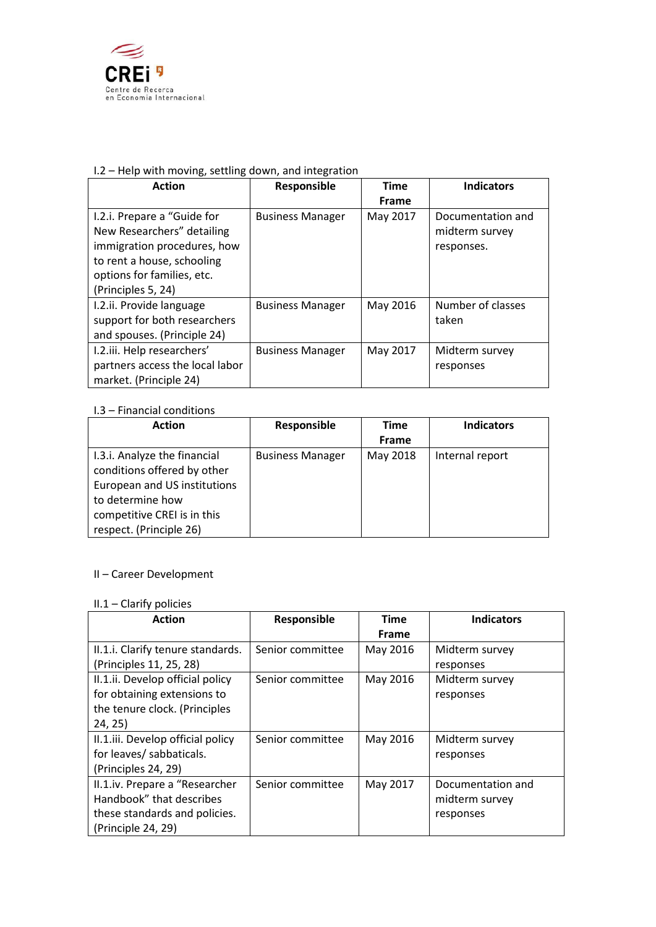

## I.2 – Help with moving, settling down, and integration

| <b>Action</b>                                                                                                                                                              | Responsible             | <b>Time</b> | <b>Indicators</b>                                 |
|----------------------------------------------------------------------------------------------------------------------------------------------------------------------------|-------------------------|-------------|---------------------------------------------------|
|                                                                                                                                                                            |                         | Frame       |                                                   |
| I.2.i. Prepare a "Guide for<br>New Researchers" detailing<br>immigration procedures, how<br>to rent a house, schooling<br>options for families, etc.<br>(Principles 5, 24) | <b>Business Manager</b> | May 2017    | Documentation and<br>midterm survey<br>responses. |
| I.2.ii. Provide language<br>support for both researchers<br>and spouses. (Principle 24)                                                                                    | <b>Business Manager</b> | May 2016    | Number of classes<br>taken                        |
| I.2.iii. Help researchers'<br>partners access the local labor<br>market. (Principle 24)                                                                                    | <b>Business Manager</b> | May 2017    | Midterm survey<br>responses                       |

#### I.3 – Financial conditions

| <b>Action</b>                | Responsible             | Time     | <b>Indicators</b> |
|------------------------------|-------------------------|----------|-------------------|
|                              |                         | Frame    |                   |
| I.3.i. Analyze the financial | <b>Business Manager</b> | May 2018 | Internal report   |
| conditions offered by other  |                         |          |                   |
| European and US institutions |                         |          |                   |
| to determine how             |                         |          |                   |
| competitive CREI is in this  |                         |          |                   |
| respect. (Principle 26)      |                         |          |                   |

# II – Career Development

# II.1 – Clarify policies

| <b>Action</b>                     | Responsible      | <b>Time</b>  | <b>Indicators</b> |
|-----------------------------------|------------------|--------------|-------------------|
|                                   |                  | <b>Frame</b> |                   |
| II.1.i. Clarify tenure standards. | Senior committee | May 2016     | Midterm survey    |
| (Principles 11, 25, 28)           |                  |              | responses         |
| II.1.ii. Develop official policy  | Senior committee | May 2016     | Midterm survey    |
| for obtaining extensions to       |                  |              | responses         |
| the tenure clock. (Principles     |                  |              |                   |
| 24, 25)                           |                  |              |                   |
| II.1.iii. Develop official policy | Senior committee | May 2016     | Midterm survey    |
| for leaves/ sabbaticals.          |                  |              | responses         |
| (Principles 24, 29)               |                  |              |                   |
| II.1.iv. Prepare a "Researcher    | Senior committee | May 2017     | Documentation and |
| Handbook" that describes          |                  |              | midterm survey    |
| these standards and policies.     |                  |              | responses         |
| (Principle 24, 29)                |                  |              |                   |